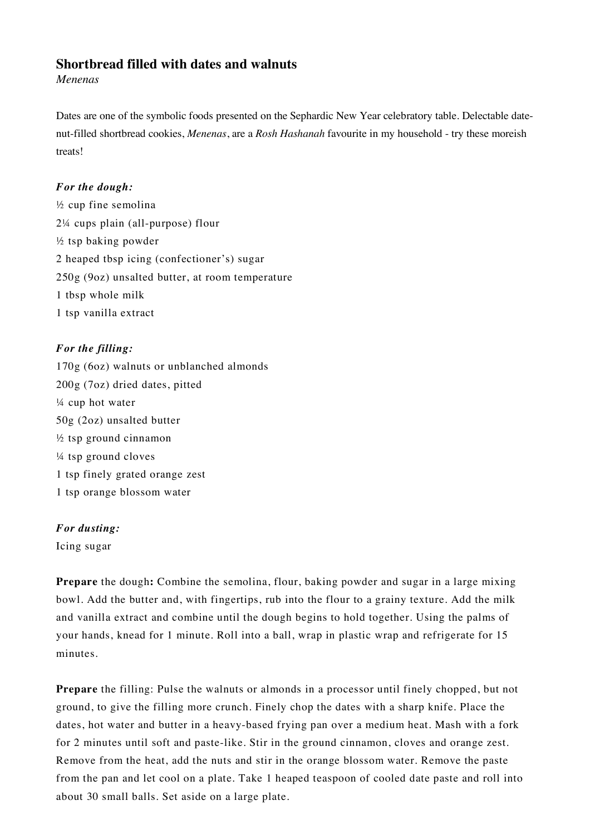## **Shortbread filled with dates and walnuts**

*Menenas*

Dates are one of the symbolic foods presented on the Sephardic New Year celebratory table. Delectable datenut-filled shortbread cookies, *Menenas*, are a *Rosh Hashanah* favourite in my household - try these moreish treats!

## *For the dough:*

½ cup fine semolina 2¼ cups plain (all-purpose) flour ½ tsp baking powder 2 heaped tbsp icing (confectioner's) sugar 250g (9oz) unsalted butter, at room temperature 1 tbsp whole milk 1 tsp vanilla extract

## *For the filling:*

170g (6oz) walnuts or unblanched almonds 200g (7oz) dried dates, pitted ¼ cup hot water 50g (2oz) unsalted butter ½ tsp ground cinnamon ¼ tsp ground cloves 1 tsp finely grated orange zest 1 tsp orange blossom water

## *For dusting:*

Icing sugar

**Prepare** the dough: Combine the semolina, flour, baking powder and sugar in a large mixing bowl. Add the butter and, with fingertips, rub into the flour to a grainy texture. Add the milk and vanilla extract and combine until the dough begins to hold together. Using the palms of your hands, knead for 1 minute. Roll into a ball, wrap in plastic wrap and refrigerate for 15 minutes.

**Prepare** the filling: Pulse the walnuts or almonds in a processor until finely chopped, but not ground, to give the filling more crunch. Finely chop the dates with a sharp knife. Place the dates, hot water and butter in a heavy-based frying pan over a medium heat. Mash with a fork for 2 minutes until soft and paste-like. Stir in the ground cinnamon, cloves and orange zest. Remove from the heat, add the nuts and stir in the orange blossom water. Remove the paste from the pan and let cool on a plate. Take 1 heaped teaspoon of cooled date paste and roll into about 30 small balls. Set aside on a large plate.